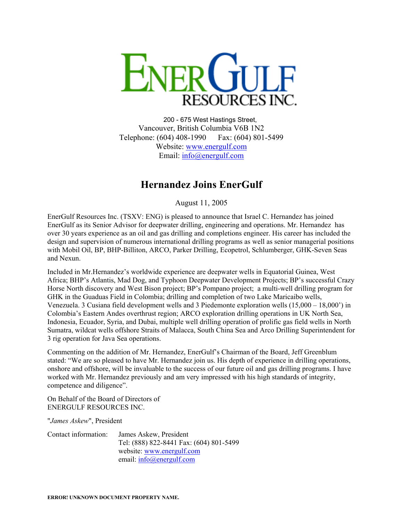

200 - 675 West Hastings Street, Vancouver, British Columbia V6B 1N2 Telephone: (604) 408-1990 Fax: (604) 801-5499 Website: [www.energulf.com](http://www.energulf.com/) Email: [info@energulf.com](mailto:info@energulf.com)

## **Hernandez Joins EnerGulf**

August 11, 2005

EnerGulf Resources Inc. (TSXV: ENG) is pleased to announce that Israel C. Hernandez has joined EnerGulf as its Senior Advisor for deepwater drilling, engineering and operations. Mr. Hernandez has over 30 years experience as an oil and gas drilling and completions engineer. His career has included the design and supervision of numerous international drilling programs as well as senior managerial positions with Mobil Oil, BP, BHP-Billiton, ARCO, Parker Drilling, Ecopetrol, Schlumberger, GHK-Seven Seas and Nexun.

Included in Mr.Hernandez's worldwide experience are deepwater wells in Equatorial Guinea, West Africa; BHP's Atlantis, Mad Dog, and Typhoon Deepwater Development Projects; BP's successful Crazy Horse North discovery and West Bison project; BP's Pompano project; a multi-well drilling program for GHK in the Guaduas Field in Colombia; drilling and completion of two Lake Maricaibo wells, Venezuela. 3 Cusiana field development wells and 3 Piedemonte exploration wells (15,000 – 18,000') in Colombia's Eastern Andes overthrust region; ARCO exploration drilling operations in UK North Sea, Indonesia, Ecuador, Syria, and Dubai, multiple well drilling operation of prolific gas field wells in North Sumatra, wildcat wells offshore Straits of Malacca, South China Sea and Arco Drilling Superintendent for 3 rig operation for Java Sea operations.

Commenting on the addition of Mr. Hernandez, EnerGulf's Chairman of the Board, Jeff Greenblum stated: "We are so pleased to have Mr. Hernandez join us. His depth of experience in drilling operations, onshore and offshore, will be invaluable to the success of our future oil and gas drilling programs. I have worked with Mr. Hernandez previously and am very impressed with his high standards of integrity, competence and diligence".

On Behalf of the Board of Directors of ENERGULF RESOURCES INC.

"*James Askew*", President

| Contact information: | James Askew, President                  |
|----------------------|-----------------------------------------|
|                      | Tel: (888) 822-8441 Fax: (604) 801-5499 |
|                      | website: www.energulf.com               |
|                      | email: $info(\omega)$ energulf.com      |